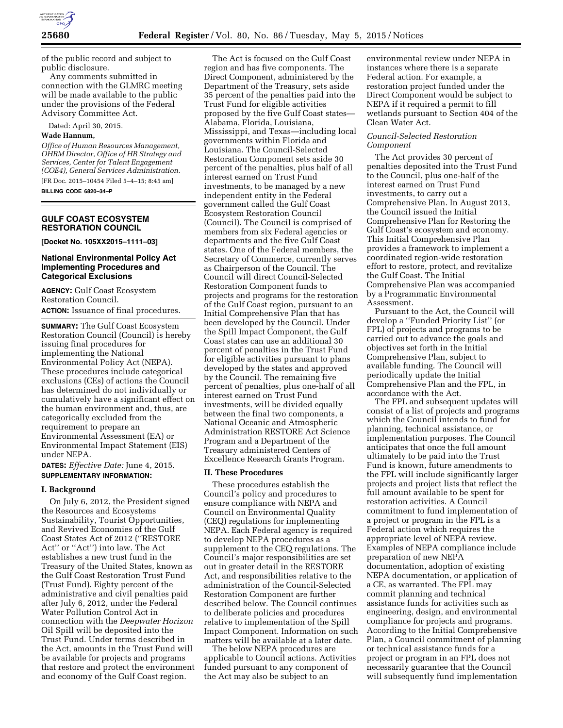

of the public record and subject to public disclosure.

Any comments submitted in connection with the GLMRC meeting will be made available to the public under the provisions of the Federal Advisory Committee Act.

Dated: April 30, 2015.

## **Wade Hannum,**

*Office of Human Resources Management, OHRM Director, Office of HR Strategy and Services, Center for Talent Engagement (COE4), General Services Administration.*  [FR Doc. 2015–10454 Filed 5–4–15; 8:45 am]

**BILLING CODE 6820–34–P** 

# **GULF COAST ECOSYSTEM RESTORATION COUNCIL**

**[Docket No. 105XX2015–1111–03]** 

# **National Environmental Policy Act Implementing Procedures and Categorical Exclusions**

**AGENCY:** Gulf Coast Ecosystem Restoration Council. **ACTION:** Issuance of final procedures.

**SUMMARY:** The Gulf Coast Ecosystem Restoration Council (Council) is hereby issuing final procedures for implementing the National Environmental Policy Act (NEPA). These procedures include categorical exclusions (CEs) of actions the Council has determined do not individually or cumulatively have a significant effect on the human environment and, thus, are categorically excluded from the requirement to prepare an Environmental Assessment (EA) or Environmental Impact Statement (EIS) under NEPA.

**DATES:** *Effective Date:* June 4, 2015. **SUPPLEMENTARY INFORMATION:** 

#### **I. Background**

On July 6, 2012, the President signed the Resources and Ecosystems Sustainability, Tourist Opportunities, and Revived Economies of the Gulf Coast States Act of 2012 (''RESTORE Act'' or ''Act'') into law. The Act establishes a new trust fund in the Treasury of the United States, known as the Gulf Coast Restoration Trust Fund (Trust Fund). Eighty percent of the administrative and civil penalties paid after July 6, 2012, under the Federal Water Pollution Control Act in connection with the *Deepwater Horizon*  Oil Spill will be deposited into the Trust Fund. Under terms described in the Act, amounts in the Trust Fund will be available for projects and programs that restore and protect the environment and economy of the Gulf Coast region.

The Act is focused on the Gulf Coast region and has five components. The Direct Component, administered by the Department of the Treasury, sets aside 35 percent of the penalties paid into the Trust Fund for eligible activities proposed by the five Gulf Coast states— Alabama, Florida, Louisiana, Mississippi, and Texas—including local governments within Florida and Louisiana. The Council-Selected Restoration Component sets aside 30 percent of the penalties, plus half of all interest earned on Trust Fund investments, to be managed by a new independent entity in the Federal government called the Gulf Coast Ecosystem Restoration Council (Council). The Council is comprised of members from six Federal agencies or departments and the five Gulf Coast states. One of the Federal members, the Secretary of Commerce, currently serves as Chairperson of the Council. The Council will direct Council-Selected Restoration Component funds to projects and programs for the restoration of the Gulf Coast region, pursuant to an Initial Comprehensive Plan that has been developed by the Council. Under the Spill Impact Component, the Gulf Coast states can use an additional 30 percent of penalties in the Trust Fund for eligible activities pursuant to plans developed by the states and approved by the Council. The remaining five percent of penalties, plus one-half of all interest earned on Trust Fund investments, will be divided equally between the final two components, a National Oceanic and Atmospheric Administration RESTORE Act Science Program and a Department of the Treasury administered Centers of Excellence Research Grants Program.

#### **II. These Procedures**

These procedures establish the Council's policy and procedures to ensure compliance with NEPA and Council on Environmental Quality (CEQ) regulations for implementing NEPA. Each Federal agency is required to develop NEPA procedures as a supplement to the CEQ regulations. The Council's major responsibilities are set out in greater detail in the RESTORE Act, and responsibilities relative to the administration of the Council-Selected Restoration Component are further described below. The Council continues to deliberate policies and procedures relative to implementation of the Spill Impact Component. Information on such matters will be available at a later date.

The below NEPA procedures are applicable to Council actions. Activities funded pursuant to any component of the Act may also be subject to an

environmental review under NEPA in instances where there is a separate Federal action. For example, a restoration project funded under the Direct Component would be subject to NEPA if it required a permit to fill wetlands pursuant to Section 404 of the Clean Water Act.

## *Council-Selected Restoration Component*

The Act provides 30 percent of penalties deposited into the Trust Fund to the Council, plus one-half of the interest earned on Trust Fund investments, to carry out a Comprehensive Plan. In August 2013, the Council issued the Initial Comprehensive Plan for Restoring the Gulf Coast's ecosystem and economy. This Initial Comprehensive Plan provides a framework to implement a coordinated region-wide restoration effort to restore, protect, and revitalize the Gulf Coast. The Initial Comprehensive Plan was accompanied by a Programmatic Environmental Assessment.

Pursuant to the Act, the Council will develop a ''Funded Priority List'' (or FPL) of projects and programs to be carried out to advance the goals and objectives set forth in the Initial Comprehensive Plan, subject to available funding. The Council will periodically update the Initial Comprehensive Plan and the FPL, in accordance with the Act.

The FPL and subsequent updates will consist of a list of projects and programs which the Council intends to fund for planning, technical assistance, or implementation purposes. The Council anticipates that once the full amount ultimately to be paid into the Trust Fund is known, future amendments to the FPL will include significantly larger projects and project lists that reflect the full amount available to be spent for restoration activities. A Council commitment to fund implementation of a project or program in the FPL is a Federal action which requires the appropriate level of NEPA review. Examples of NEPA compliance include preparation of new NEPA documentation, adoption of existing NEPA documentation, or application of a CE, as warranted. The FPL may commit planning and technical assistance funds for activities such as engineering, design, and environmental compliance for projects and programs. According to the Initial Comprehensive Plan, a Council commitment of planning or technical assistance funds for a project or program in an FPL does not necessarily guarantee that the Council will subsequently fund implementation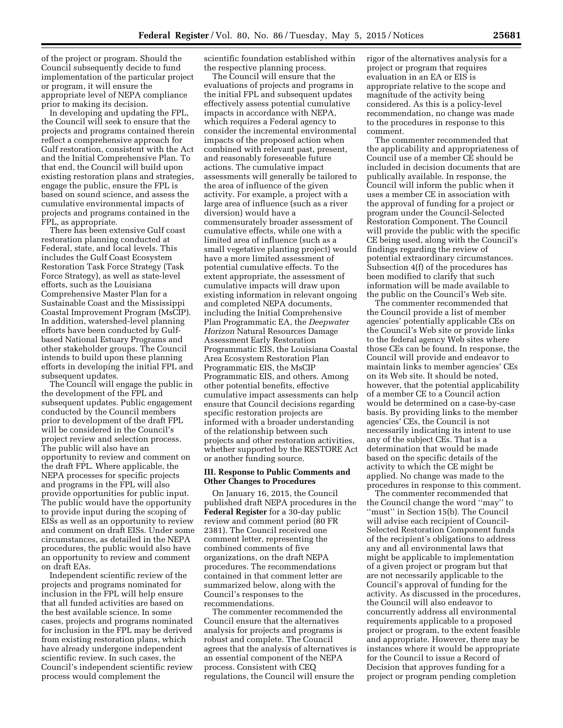of the project or program. Should the Council subsequently decide to fund implementation of the particular project or program, it will ensure the appropriate level of NEPA compliance prior to making its decision.

In developing and updating the FPL, the Council will seek to ensure that the projects and programs contained therein reflect a comprehensive approach for Gulf restoration, consistent with the Act and the Initial Comprehensive Plan. To that end, the Council will build upon existing restoration plans and strategies, engage the public, ensure the FPL is based on sound science, and assess the cumulative environmental impacts of projects and programs contained in the FPL, as appropriate.

There has been extensive Gulf coast restoration planning conducted at Federal, state, and local levels. This includes the Gulf Coast Ecosystem Restoration Task Force Strategy (Task Force Strategy), as well as state-level efforts, such as the Louisiana Comprehensive Master Plan for a Sustainable Coast and the Mississippi Coastal Improvement Program (MsCIP). In addition, watershed-level planning efforts have been conducted by Gulfbased National Estuary Programs and other stakeholder groups. The Council intends to build upon these planning efforts in developing the initial FPL and subsequent updates.

The Council will engage the public in the development of the FPL and subsequent updates. Public engagement conducted by the Council members prior to development of the draft FPL will be considered in the Council's project review and selection process. The public will also have an opportunity to review and comment on the draft FPL. Where applicable, the NEPA processes for specific projects and programs in the FPL will also provide opportunities for public input. The public would have the opportunity to provide input during the scoping of EISs as well as an opportunity to review and comment on draft EISs. Under some circumstances, as detailed in the NEPA procedures, the public would also have an opportunity to review and comment on draft EAs.

Independent scientific review of the projects and programs nominated for inclusion in the FPL will help ensure that all funded activities are based on the best available science. In some cases, projects and programs nominated for inclusion in the FPL may be derived from existing restoration plans, which have already undergone independent scientific review. In such cases, the Council's independent scientific review process would complement the

scientific foundation established within the respective planning process.

The Council will ensure that the evaluations of projects and programs in the initial FPL and subsequent updates effectively assess potential cumulative impacts in accordance with NEPA, which requires a Federal agency to consider the incremental environmental impacts of the proposed action when combined with relevant past, present, and reasonably foreseeable future actions. The cumulative impact assessments will generally be tailored to the area of influence of the given activity. For example, a project with a large area of influence (such as a river diversion) would have a commensurately broader assessment of cumulative effects, while one with a limited area of influence (such as a small vegetative planting project) would have a more limited assessment of potential cumulative effects. To the extent appropriate, the assessment of cumulative impacts will draw upon existing information in relevant ongoing and completed NEPA documents, including the Initial Comprehensive Plan Programmatic EA, the *Deepwater Horizon* Natural Resources Damage Assessment Early Restoration Programmatic EIS, the Louisiana Coastal Area Ecosystem Restoration Plan Programmatic EIS, the MsCIP Programmatic EIS, and others. Among other potential benefits, effective cumulative impact assessments can help ensure that Council decisions regarding specific restoration projects are informed with a broader understanding of the relationship between such projects and other restoration activities, whether supported by the RESTORE Act or another funding source.

### **III. Response to Public Comments and Other Changes to Procedures**

On January 16, 2015, the Council published draft NEPA procedures in the **Federal Register** for a 30-day public review and comment period (80 FR 2381). The Council received one comment letter, representing the combined comments of five organizations, on the draft NEPA procedures. The recommendations contained in that comment letter are summarized below, along with the Council's responses to the recommendations.

The commenter recommended the Council ensure that the alternatives analysis for projects and programs is robust and complete. The Council agrees that the analysis of alternatives is an essential component of the NEPA process. Consistent with CEQ regulations, the Council will ensure the

rigor of the alternatives analysis for a project or program that requires evaluation in an EA or EIS is appropriate relative to the scope and magnitude of the activity being considered. As this is a policy-level recommendation, no change was made to the procedures in response to this comment.

The commenter recommended that the applicability and appropriateness of Council use of a member CE should be included in decision documents that are publically available. In response, the Council will inform the public when it uses a member CE in association with the approval of funding for a project or program under the Council-Selected Restoration Component. The Council will provide the public with the specific CE being used, along with the Council's findings regarding the review of potential extraordinary circumstances. Subsection 4(f) of the procedures has been modified to clarify that such information will be made available to the public on the Council's Web site.

The commenter recommended that the Council provide a list of member agencies' potentially applicable CEs on the Council's Web site or provide links to the federal agency Web sites where those CEs can be found. In response, the Council will provide and endeavor to maintain links to member agencies' CEs on its Web site. It should be noted, however, that the potential applicability of a member CE to a Council action would be determined on a case-by-case basis. By providing links to the member agencies' CEs, the Council is not necessarily indicating its intent to use any of the subject CEs. That is a determination that would be made based on the specific details of the activity to which the CE might be applied. No change was made to the procedures in response to this comment.

The commenter recommended that the Council change the word ''may'' to ''must'' in Section 15(b). The Council will advise each recipient of Council-Selected Restoration Component funds of the recipient's obligations to address any and all environmental laws that might be applicable to implementation of a given project or program but that are not necessarily applicable to the Council's approval of funding for the activity. As discussed in the procedures, the Council will also endeavor to concurrently address all environmental requirements applicable to a proposed project or program, to the extent feasible and appropriate. However, there may be instances where it would be appropriate for the Council to issue a Record of Decision that approves funding for a project or program pending completion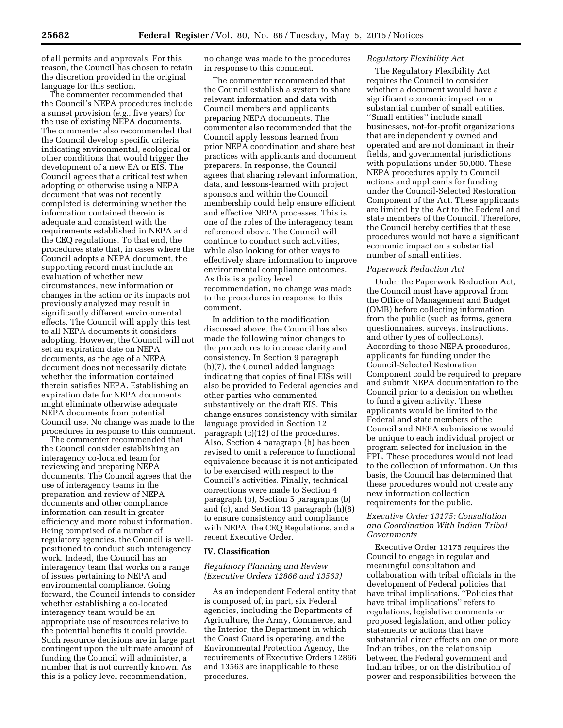of all permits and approvals. For this reason, the Council has chosen to retain the discretion provided in the original language for this section.

The commenter recommended that the Council's NEPA procedures include a sunset provision (*e.g.,* five years) for the use of existing NEPA documents. The commenter also recommended that the Council develop specific criteria indicating environmental, ecological or other conditions that would trigger the development of a new EA or EIS. The Council agrees that a critical test when adopting or otherwise using a NEPA document that was not recently completed is determining whether the information contained therein is adequate and consistent with the requirements established in NEPA and the CEQ regulations. To that end, the procedures state that, in cases where the Council adopts a NEPA document, the supporting record must include an evaluation of whether new circumstances, new information or changes in the action or its impacts not previously analyzed may result in significantly different environmental effects. The Council will apply this test to all NEPA documents it considers adopting. However, the Council will not set an expiration date on NEPA documents, as the age of a NEPA document does not necessarily dictate whether the information contained therein satisfies NEPA. Establishing an expiration date for NEPA documents might eliminate otherwise adequate NEPA documents from potential Council use. No change was made to the procedures in response to this comment.

The commenter recommended that the Council consider establishing an interagency co-located team for reviewing and preparing NEPA documents. The Council agrees that the use of interagency teams in the preparation and review of NEPA documents and other compliance information can result in greater efficiency and more robust information. Being comprised of a number of regulatory agencies, the Council is wellpositioned to conduct such interagency work. Indeed, the Council has an interagency team that works on a range of issues pertaining to NEPA and environmental compliance. Going forward, the Council intends to consider whether establishing a co-located interagency team would be an appropriate use of resources relative to the potential benefits it could provide. Such resource decisions are in large part contingent upon the ultimate amount of funding the Council will administer, a number that is not currently known. As this is a policy level recommendation,

no change was made to the procedures in response to this comment.

The commenter recommended that the Council establish a system to share relevant information and data with Council members and applicants preparing NEPA documents. The commenter also recommended that the Council apply lessons learned from prior NEPA coordination and share best practices with applicants and document preparers. In response, the Council agrees that sharing relevant information, data, and lessons-learned with project sponsors and within the Council membership could help ensure efficient and effective NEPA processes. This is one of the roles of the interagency team referenced above. The Council will continue to conduct such activities, while also looking for other ways to effectively share information to improve environmental compliance outcomes. As this is a policy level recommendation, no change was made to the procedures in response to this comment.

In addition to the modification discussed above, the Council has also made the following minor changes to the procedures to increase clarity and consistency. In Section 9 paragraph (b)(7), the Council added language indicating that copies of final EISs will also be provided to Federal agencies and other parties who commented substantively on the draft EIS. This change ensures consistency with similar language provided in Section 12 paragraph (c)(12) of the procedures. Also, Section 4 paragraph (h) has been revised to omit a reference to functional equivalence because it is not anticipated to be exercised with respect to the Council's activities. Finally, technical corrections were made to Section 4 paragraph (b), Section 5 paragraphs (b) and (c), and Section 13 paragraph (h)(8) to ensure consistency and compliance with NEPA, the CEQ Regulations, and a recent Executive Order.

#### **IV. Classification**

## *Regulatory Planning and Review (Executive Orders 12866 and 13563)*

As an independent Federal entity that is composed of, in part, six Federal agencies, including the Departments of Agriculture, the Army, Commerce, and the Interior, the Department in which the Coast Guard is operating, and the Environmental Protection Agency, the requirements of Executive Orders 12866 and 13563 are inapplicable to these procedures.

## *Regulatory Flexibility Act*

The Regulatory Flexibility Act requires the Council to consider whether a document would have a significant economic impact on a substantial number of small entities. ''Small entities'' include small businesses, not-for-profit organizations that are independently owned and operated and are not dominant in their fields, and governmental jurisdictions with populations under 50,000. These NEPA procedures apply to Council actions and applicants for funding under the Council-Selected Restoration Component of the Act. These applicants are limited by the Act to the Federal and state members of the Council. Therefore, the Council hereby certifies that these procedures would not have a significant economic impact on a substantial number of small entities.

#### *Paperwork Reduction Act*

Under the Paperwork Reduction Act, the Council must have approval from the Office of Management and Budget (OMB) before collecting information from the public (such as forms, general questionnaires, surveys, instructions, and other types of collections). According to these NEPA procedures, applicants for funding under the Council-Selected Restoration Component could be required to prepare and submit NEPA documentation to the Council prior to a decision on whether to fund a given activity. These applicants would be limited to the Federal and state members of the Council and NEPA submissions would be unique to each individual project or program selected for inclusion in the FPL. These procedures would not lead to the collection of information. On this basis, the Council has determined that these procedures would not create any new information collection requirements for the public.

## *Executive Order 13175: Consultation and Coordination With Indian Tribal Governments*

Executive Order 13175 requires the Council to engage in regular and meaningful consultation and collaboration with tribal officials in the development of Federal policies that have tribal implications. ''Policies that have tribal implications'' refers to regulations, legislative comments or proposed legislation, and other policy statements or actions that have substantial direct effects on one or more Indian tribes, on the relationship between the Federal government and Indian tribes, or on the distribution of power and responsibilities between the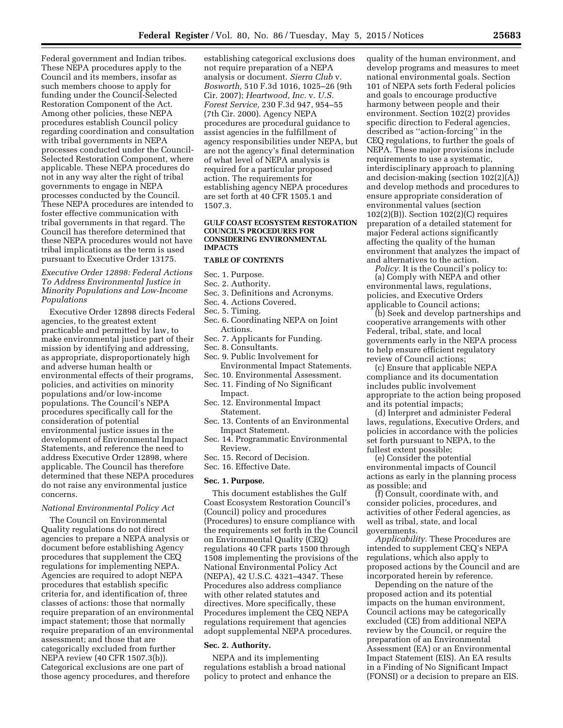Federal government and Indian tribes. These NEPA procedures apply to the Council and its members, insofar as such members choose to apply for funding under the Council-Selected Restoration Component of the Act. Among other policies, these NEPA procedures establish Council policy regarding coordination and consultation with tribal governments in NEPA processes conducted under the Council-Selected Restoration Component, where applicable. These NEPA procedures do not in any way alter the right of tribal governments to engage in NEPA processes conducted by the Council. These NEPA procedures are intended to foster effective communication with tribal governments in that regard. The Council has therefore determined that these NEPA procedures would not have tribal implications as the term is used pursuant to Executive Order 13175.

# *Executive Order 12898: Federal Actions To Address Environmental Justice in Minority Populations and Low-Income Populations*

Executive Order 12898 directs Federal agencies, to the greatest extent practicable and permitted by law, to make environmental justice part of their mission by identifying and addressing, as appropriate, disproportionately high and adverse human health or environmental effects of their programs, policies, and activities on minority populations and/or low-income populations. The Council's NEPA procedures specifically call for the consideration of potential environmental justice issues in the development of Environmental Impact Statements, and reference the need to address Executive Order 12898, where applicable. The Council has therefore determined that these NEPA procedures do not raise any environmental justice concerns.

### *National Environmental Policy Act*

The Council on Environmental Quality regulations do not direct agencies to prepare a NEPA analysis or document before establishing Agency procedures that supplement the CEQ regulations for implementing NEPA. Agencies are required to adopt NEPA procedures that establish specific criteria for, and identification of, three classes of actions: those that normally require preparation of an environmental impact statement; those that normally require preparation of an environmental assessment; and those that are categorically excluded from further NEPA review (40 CFR 1507.3(b)). Categorical exclusions are one part of those agency procedures, and therefore

establishing categorical exclusions does not require preparation of a NEPA analysis or document. *Sierra Club* v. *Bosworth,* 510 F.3d 1016, 1025–26 (9th Cir. 2007); *Heartwood, Inc.* v. *U.S. Forest Service,* 230 F.3d 947, 954–55 (7th Cir. 2000). Agency NEPA procedures are procedural guidance to assist agencies in the fulfillment of agency responsibilities under NEPA, but are not the agency's final determination of what level of NEPA analysis is required for a particular proposed action. The requirements for establishing agency NEPA procedures are set forth at 40 CFR 1505.1 and 1507.3.

#### **GULF COAST ECOSYSTEM RESTORATION COUNCIL'S PROCEDURES FOR CONSIDERING ENVIRONMENTAL IMPACTS**

### **TABLE OF CONTENTS**

#### Sec. 1. Purpose.

- Sec. 2. Authority.
- Sec. 3. Definitions and Acronyms.
- Sec. 4. Actions Covered.
- Sec. 5. Timing.
- Sec. 6. Coordinating NEPA on Joint Actions.
- Sec. 7. Applicants for Funding.
- Sec. 8. Consultants.
- Sec. 9. Public Involvement for Environmental Impact Statements.
- Sec. 10. Environmental Assessment. Sec. 11. Finding of No Significant
- Impact.
- Sec. 12. Environmental Impact Statement.
- Sec. 13. Contents of an Environmental Impact Statement.
- Sec. 14. Programmatic Environmental Review.
- Sec. 15. Record of Decision.
- Sec. 16. Effective Date.

#### **Sec. 1. Purpose.**

This document establishes the Gulf Coast Ecosystem Restoration Council's (Council) policy and procedures (Procedures) to ensure compliance with the requirements set forth in the Council on Environmental Quality (CEQ) regulations 40 CFR parts 1500 through 1508 implementing the provisions of the National Environmental Policy Act (NEPA), 42 U.S.C. 4321–4347. These Procedures also address compliance with other related statutes and directives. More specifically, these Procedures implement the CEQ NEPA regulations requirement that agencies adopt supplemental NEPA procedures.

### **Sec. 2. Authority.**

NEPA and its implementing regulations establish a broad national policy to protect and enhance the

quality of the human environment, and develop programs and measures to meet national environmental goals. Section 101 of NEPA sets forth Federal policies and goals to encourage productive harmony between people and their environment. Section 102(2) provides specific direction to Federal agencies, described as ''action-forcing'' in the CEQ regulations, to further the goals of NEPA. These major provisions include requirements to use a systematic, interdisciplinary approach to planning and decision-making (section 102(2)(A)) and develop methods and procedures to ensure appropriate consideration of environmental values (section 102(2)(B)). Section 102(2)(C) requires preparation of a detailed statement for major Federal actions significantly affecting the quality of the human environment that analyzes the impact of and alternatives to the action.

*Policy.* It is the Council's policy to:

(a) Comply with NEPA and other environmental laws, regulations, policies, and Executive Orders applicable to Council actions;

(b) Seek and develop partnerships and cooperative arrangements with other Federal, tribal, state, and local governments early in the NEPA process to help ensure efficient regulatory review of Council actions;

(c) Ensure that applicable NEPA compliance and its documentation includes public involvement appropriate to the action being proposed and its potential impacts;

(d) Interpret and administer Federal laws, regulations, Executive Orders, and policies in accordance with the policies set forth pursuant to NEPA, to the fullest extent possible;

(e) Consider the potential environmental impacts of Council actions as early in the planning process as possible; and

(f) Consult, coordinate with, and consider policies, procedures, and activities of other Federal agencies, as well as tribal, state, and local governments.

*Applicability.* These Procedures are intended to supplement CEQ's NEPA regulations, which also apply to proposed actions by the Council and are incorporated herein by reference.

Depending on the nature of the proposed action and its potential impacts on the human environment, Council actions may be categorically excluded (CE) from additional NEPA review by the Council, or require the preparation of an Environmental Assessment (EA) or an Environmental Impact Statement (EIS). An EA results in a Finding of No Significant Impact (FONSI) or a decision to prepare an EIS.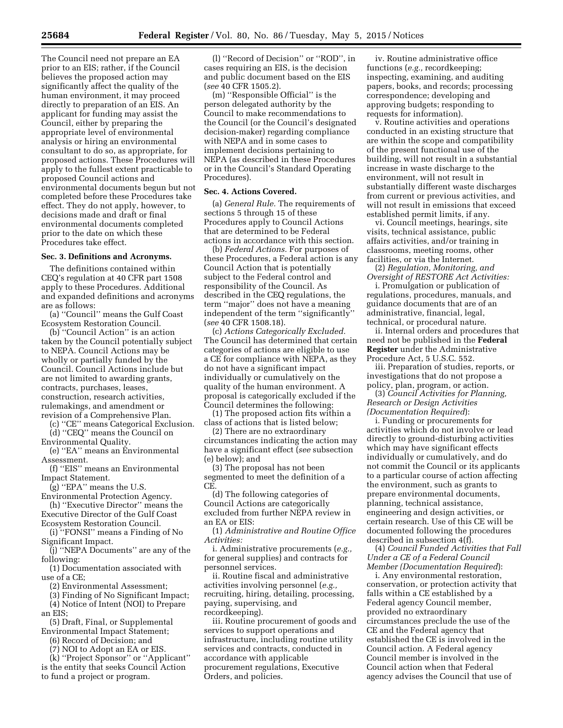The Council need not prepare an EA prior to an EIS; rather, if the Council believes the proposed action may significantly affect the quality of the human environment, it may proceed directly to preparation of an EIS. An applicant for funding may assist the Council, either by preparing the appropriate level of environmental analysis or hiring an environmental consultant to do so, as appropriate, for proposed actions. These Procedures will apply to the fullest extent practicable to proposed Council actions and environmental documents begun but not completed before these Procedures take effect. They do not apply, however, to decisions made and draft or final environmental documents completed prior to the date on which these Procedures take effect.

## **Sec. 3. Definitions and Acronyms.**

The definitions contained within CEQ's regulation at 40 CFR part 1508 apply to these Procedures. Additional and expanded definitions and acronyms are as follows:

(a) ''Council'' means the Gulf Coast Ecosystem Restoration Council.

(b) ''Council Action'' is an action taken by the Council potentially subject to NEPA. Council Actions may be wholly or partially funded by the Council. Council Actions include but are not limited to awarding grants, contracts, purchases, leases, construction, research activities, rulemakings, and amendment or revision of a Comprehensive Plan.

(c) ''CE'' means Categorical Exclusion. (d) ''CEQ'' means the Council on

Environmental Quality. (e) ''EA'' means an Environmental

Assessment.

(f) ''EIS'' means an Environmental Impact Statement.

(g) ''EPA'' means the U.S.

Environmental Protection Agency. (h) ''Executive Director'' means the

Executive Director of the Gulf Coast Ecosystem Restoration Council.

(i) ''FONSI'' means a Finding of No Significant Impact.

(j) ''NEPA Documents'' are any of the following:

(1) Documentation associated with use of a CE;

(2) Environmental Assessment;

(3) Finding of No Significant Impact; (4) Notice of Intent (NOI) to Prepare

an EIS; (5) Draft, Final, or Supplemental

Environmental Impact Statement;

(6) Record of Decision; and

(7) NOI to Adopt an EA or EIS.

(k) ''Project Sponsor'' or ''Applicant'' is the entity that seeks Council Action to fund a project or program.

(l) ''Record of Decision'' or ''ROD'', in cases requiring an EIS, is the decision and public document based on the EIS (*see* 40 CFR 1505.2).

(m) ''Responsible Official'' is the person delegated authority by the Council to make recommendations to the Council (or the Council's designated decision-maker) regarding compliance with NEPA and in some cases to implement decisions pertaining to NEPA (as described in these Procedures or in the Council's Standard Operating Procedures).

## **Sec. 4. Actions Covered.**

(a) *General Rule.* The requirements of sections 5 through 15 of these Procedures apply to Council Actions that are determined to be Federal actions in accordance with this section.

(b) *Federal Actions.* For purposes of these Procedures, a Federal action is any Council Action that is potentially subject to the Federal control and responsibility of the Council. As described in the CEQ regulations, the term ''major'' does not have a meaning independent of the term ''significantly'' (*see* 40 CFR 1508.18).

(c) *Actions Categorically Excluded.*  The Council has determined that certain categories of actions are eligible to use a CE for compliance with NEPA, as they do not have a significant impact individually or cumulatively on the quality of the human environment. A proposal is categorically excluded if the Council determines the following:

(1) The proposed action fits within a class of actions that is listed below;

(2) There are no extraordinary circumstances indicating the action may have a significant effect (*see* subsection (e) below); and

(3) The proposal has not been segmented to meet the definition of a CE.

(d) The following categories of Council Actions are categorically excluded from further NEPA review in an EA or EIS:

(1) *Administrative and Routine Office Activities:* 

i. Administrative procurements (*e.g.,*  for general supplies) and contracts for personnel services.

ii. Routine fiscal and administrative activities involving personnel (*e.g.,*  recruiting, hiring, detailing, processing, paying, supervising, and recordkeeping).

iii. Routine procurement of goods and services to support operations and infrastructure, including routine utility services and contracts, conducted in accordance with applicable procurement regulations, Executive Orders, and policies.

iv. Routine administrative office functions (*e.g.,* recordkeeping; inspecting, examining, and auditing papers, books, and records; processing correspondence; developing and approving budgets; responding to requests for information).

v. Routine activities and operations conducted in an existing structure that are within the scope and compatibility of the present functional use of the building, will not result in a substantial increase in waste discharge to the environment, will not result in substantially different waste discharges from current or previous activities, and will not result in emissions that exceed established permit limits, if any.

vi. Council meetings, hearings, site visits, technical assistance, public affairs activities, and/or training in classrooms, meeting rooms, other facilities, or via the Internet.

(2) *Regulation, Monitoring, and Oversight of RESTORE Act Activities:* 

i. Promulgation or publication of regulations, procedures, manuals, and guidance documents that are of an administrative, financial, legal, technical, or procedural nature.

ii. Internal orders and procedures that need not be published in the **Federal Register** under the Administrative Procedure Act, 5 U.S.C. 552.

iii. Preparation of studies, reports, or investigations that do not propose a policy, plan, program, or action.

(3) *Council Activities for Planning, Research or Design Activities (Documentation Required*):

i. Funding or procurements for activities which do not involve or lead directly to ground-disturbing activities which may have significant effects individually or cumulatively, and do not commit the Council or its applicants to a particular course of action affecting the environment, such as grants to prepare environmental documents, planning, technical assistance, engineering and design activities, or certain research. Use of this CE will be documented following the procedures described in subsection 4(f).

(4) *Council Funded Activities that Fall Under a CE of a Federal Council Member (Documentation Required*):

i. Any environmental restoration, conservation, or protection activity that falls within a CE established by a Federal agency Council member, provided no extraordinary circumstances preclude the use of the CE and the Federal agency that established the CE is involved in the Council action. A Federal agency Council member is involved in the Council action when that Federal agency advises the Council that use of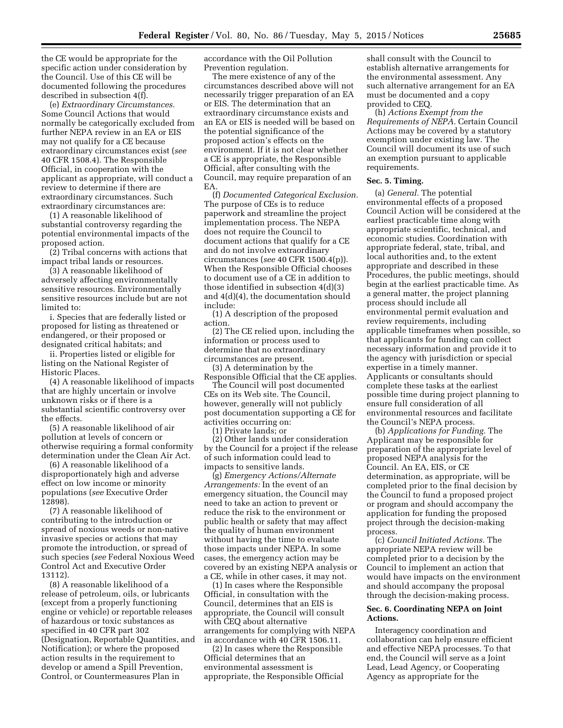the CE would be appropriate for the specific action under consideration by the Council. Use of this CE will be documented following the procedures described in subsection 4(f).

(e) *Extraordinary Circumstances.*  Some Council Actions that would normally be categorically excluded from further NEPA review in an EA or EIS may not qualify for a CE because extraordinary circumstances exist (*see*  40 CFR 1508.4). The Responsible Official, in cooperation with the applicant as appropriate, will conduct a review to determine if there are extraordinary circumstances. Such extraordinary circumstances are:

(1) A reasonable likelihood of substantial controversy regarding the potential environmental impacts of the proposed action.

(2) Tribal concerns with actions that impact tribal lands or resources.

(3) A reasonable likelihood of adversely affecting environmentally sensitive resources. Environmentally sensitive resources include but are not limited to:

i. Species that are federally listed or proposed for listing as threatened or endangered, or their proposed or designated critical habitats; and

ii. Properties listed or eligible for listing on the National Register of Historic Places.

(4) A reasonable likelihood of impacts that are highly uncertain or involve unknown risks or if there is a substantial scientific controversy over the effects.

(5) A reasonable likelihood of air pollution at levels of concern or otherwise requiring a formal conformity determination under the Clean Air Act.

(6) A reasonable likelihood of a disproportionately high and adverse effect on low income or minority populations (*see* Executive Order 12898).

(7) A reasonable likelihood of contributing to the introduction or spread of noxious weeds or non-native invasive species or actions that may promote the introduction, or spread of such species (*see* Federal Noxious Weed Control Act and Executive Order 13112).

(8) A reasonable likelihood of a release of petroleum, oils, or lubricants (except from a properly functioning engine or vehicle) or reportable releases of hazardous or toxic substances as specified in 40 CFR part 302 (Designation, Reportable Quantities, and Notification); or where the proposed action results in the requirement to develop or amend a Spill Prevention, Control, or Countermeasures Plan in

accordance with the Oil Pollution Prevention regulation.

The mere existence of any of the circumstances described above will not necessarily trigger preparation of an EA or EIS. The determination that an extraordinary circumstance exists and an EA or EIS is needed will be based on the potential significance of the proposed action's effects on the environment. If it is not clear whether a CE is appropriate, the Responsible Official, after consulting with the Council, may require preparation of an EA.

(f) *Documented Categorical Exclusion.*  The purpose of CEs is to reduce paperwork and streamline the project implementation process. The NEPA does not require the Council to document actions that qualify for a CE and do not involve extraordinary circumstances (*see* 40 CFR 1500.4(p)). When the Responsible Official chooses to document use of a CE in addition to those identified in subsection 4(d)(3) and 4(d)(4), the documentation should include:

(1) A description of the proposed action.

(2) The CE relied upon, including the information or process used to determine that no extraordinary circumstances are present.

(3) A determination by the Responsible Official that the CE applies. The Council will post documented CEs on its Web site. The Council,

however, generally will not publicly post documentation supporting a CE for activities occurring on:

(1) Private lands; or

(2) Other lands under consideration by the Council for a project if the release of such information could lead to impacts to sensitive lands.

(g) *Emergency Actions/Alternate Arrangements:* In the event of an emergency situation, the Council may need to take an action to prevent or reduce the risk to the environment or public health or safety that may affect the quality of human environment without having the time to evaluate those impacts under NEPA. In some cases, the emergency action may be covered by an existing NEPA analysis or a CE, while in other cases, it may not.

(1) In cases where the Responsible Official, in consultation with the Council, determines that an EIS is appropriate, the Council will consult with CEQ about alternative arrangements for complying with NEPA in accordance with 40 CFR 1506.11.

(2) In cases where the Responsible Official determines that an environmental assessment is appropriate, the Responsible Official

shall consult with the Council to establish alternative arrangements for the environmental assessment. Any such alternative arrangement for an EA must be documented and a copy provided to CEQ.

(h) *Actions Exempt from the Requirements of NEPA.* Certain Council Actions may be covered by a statutory exemption under existing law. The Council will document its use of such an exemption pursuant to applicable requirements.

#### **Sec. 5. Timing.**

(a) *General.* The potential environmental effects of a proposed Council Action will be considered at the earliest practicable time along with appropriate scientific, technical, and economic studies. Coordination with appropriate federal, state, tribal, and local authorities and, to the extent appropriate and described in these Procedures, the public meetings, should begin at the earliest practicable time. As a general matter, the project planning process should include all environmental permit evaluation and review requirements, including applicable timeframes when possible, so that applicants for funding can collect necessary information and provide it to the agency with jurisdiction or special expertise in a timely manner. Applicants or consultants should complete these tasks at the earliest possible time during project planning to ensure full consideration of all environmental resources and facilitate the Council's NEPA process.

(b) *Applications for Funding.* The Applicant may be responsible for preparation of the appropriate level of proposed NEPA analysis for the Council. An EA, EIS, or CE determination, as appropriate, will be completed prior to the final decision by the Council to fund a proposed project or program and should accompany the application for funding the proposed project through the decision-making process.

(c) *Council Initiated Actions.* The appropriate NEPA review will be completed prior to a decision by the Council to implement an action that would have impacts on the environment and should accompany the proposal through the decision-making process.

## **Sec. 6. Coordinating NEPA on Joint Actions.**

Interagency coordination and collaboration can help ensure efficient and effective NEPA processes. To that end, the Council will serve as a Joint Lead, Lead Agency, or Cooperating Agency as appropriate for the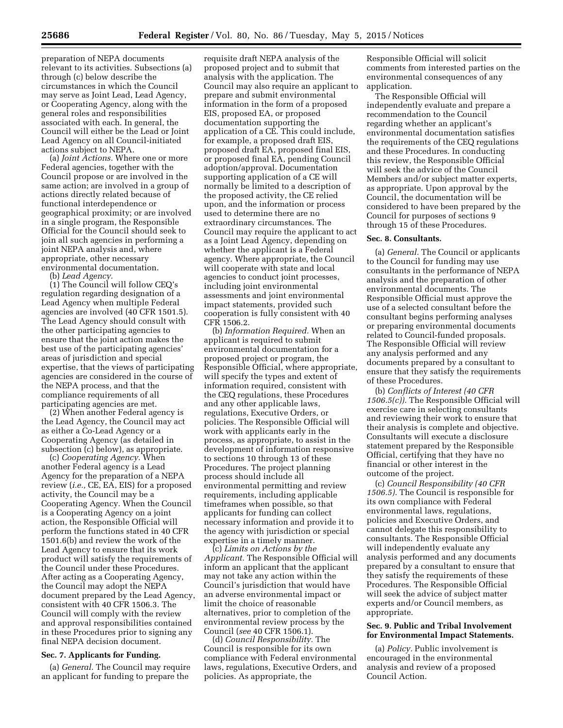preparation of NEPA documents relevant to its activities. Subsections (a) through (c) below describe the circumstances in which the Council may serve as Joint Lead, Lead Agency, or Cooperating Agency, along with the general roles and responsibilities associated with each. In general, the Council will either be the Lead or Joint Lead Agency on all Council-initiated actions subject to NEPA.

(a) *Joint Actions.* Where one or more Federal agencies, together with the Council propose or are involved in the same action; are involved in a group of actions directly related because of functional interdependence or geographical proximity; or are involved in a single program, the Responsible Official for the Council should seek to join all such agencies in performing a joint NEPA analysis and, where appropriate, other necessary environmental documentation.

(b) *Lead Agency.* 

(1) The Council will follow CEQ's regulation regarding designation of a Lead Agency when multiple Federal agencies are involved (40 CFR 1501.5). The Lead Agency should consult with the other participating agencies to ensure that the joint action makes the best use of the participating agencies' areas of jurisdiction and special expertise, that the views of participating agencies are considered in the course of the NEPA process, and that the compliance requirements of all participating agencies are met.

(2) When another Federal agency is the Lead Agency, the Council may act as either a Co-Lead Agency or a Cooperating Agency (as detailed in subsection (c) below), as appropriate.

(c) *Cooperating Agency.* When another Federal agency is a Lead Agency for the preparation of a NEPA review (*i.e.,* CE, EA, EIS) for a proposed activity, the Council may be a Cooperating Agency. When the Council is a Cooperating Agency on a joint action, the Responsible Official will perform the functions stated in 40 CFR 1501.6(b) and review the work of the Lead Agency to ensure that its work product will satisfy the requirements of the Council under these Procedures. After acting as a Cooperating Agency, the Council may adopt the NEPA document prepared by the Lead Agency, consistent with 40 CFR 1506.3. The Council will comply with the review and approval responsibilities contained in these Procedures prior to signing any final NEPA decision document.

### **Sec. 7. Applicants for Funding.**

(a) *General.* The Council may require an applicant for funding to prepare the

requisite draft NEPA analysis of the proposed project and to submit that analysis with the application. The Council may also require an applicant to prepare and submit environmental information in the form of a proposed EIS, proposed EA, or proposed documentation supporting the application of a CE. This could include, for example, a proposed draft EIS, proposed draft EA, proposed final EIS, or proposed final EA, pending Council adoption/approval. Documentation supporting application of a CE will normally be limited to a description of the proposed activity, the CE relied upon, and the information or process used to determine there are no extraordinary circumstances. The Council may require the applicant to act as a Joint Lead Agency, depending on whether the applicant is a Federal agency. Where appropriate, the Council will cooperate with state and local agencies to conduct joint processes, including joint environmental assessments and joint environmental impact statements, provided such cooperation is fully consistent with 40 CFR 1506.2.

(b) *Information Required.* When an applicant is required to submit environmental documentation for a proposed project or program, the Responsible Official, where appropriate, will specify the types and extent of information required, consistent with the CEQ regulations, these Procedures and any other applicable laws, regulations, Executive Orders, or policies. The Responsible Official will work with applicants early in the process, as appropriate, to assist in the development of information responsive to sections 10 through 13 of these Procedures. The project planning process should include all environmental permitting and review requirements, including applicable timeframes when possible, so that applicants for funding can collect necessary information and provide it to the agency with jurisdiction or special expertise in a timely manner.

(c) *Limits on Actions by the Applicant.* The Responsible Official will inform an applicant that the applicant may not take any action within the Council's jurisdiction that would have an adverse environmental impact or limit the choice of reasonable alternatives, prior to completion of the environmental review process by the Council (*see* 40 CFR 1506.1).

(d) *Council Responsibility.* The Council is responsible for its own compliance with Federal environmental laws, regulations, Executive Orders, and policies. As appropriate, the

Responsible Official will solicit comments from interested parties on the environmental consequences of any application.

The Responsible Official will independently evaluate and prepare a recommendation to the Council regarding whether an applicant's environmental documentation satisfies the requirements of the CEQ regulations and these Procedures. In conducting this review, the Responsible Official will seek the advice of the Council Members and/or subject matter experts, as appropriate. Upon approval by the Council, the documentation will be considered to have been prepared by the Council for purposes of sections 9 through 15 of these Procedures.

#### **Sec. 8. Consultants.**

(a) *General.* The Council or applicants to the Council for funding may use consultants in the performance of NEPA analysis and the preparation of other environmental documents. The Responsible Official must approve the use of a selected consultant before the consultant begins performing analyses or preparing environmental documents related to Council-funded proposals. The Responsible Official will review any analysis performed and any documents prepared by a consultant to ensure that they satisfy the requirements of these Procedures.

(b) *Conflicts of Interest (40 CFR 1506.5(c)).* The Responsible Official will exercise care in selecting consultants and reviewing their work to ensure that their analysis is complete and objective. Consultants will execute a disclosure statement prepared by the Responsible Official, certifying that they have no financial or other interest in the outcome of the project.

(c) *Council Responsibility (40 CFR 1506.5).* The Council is responsible for its own compliance with Federal environmental laws, regulations, policies and Executive Orders, and cannot delegate this responsibility to consultants. The Responsible Official will independently evaluate any analysis performed and any documents prepared by a consultant to ensure that they satisfy the requirements of these Procedures. The Responsible Official will seek the advice of subject matter experts and/or Council members, as appropriate.

# **Sec. 9. Public and Tribal Involvement for Environmental Impact Statements.**

(a) *Policy.* Public involvement is encouraged in the environmental analysis and review of a proposed Council Action.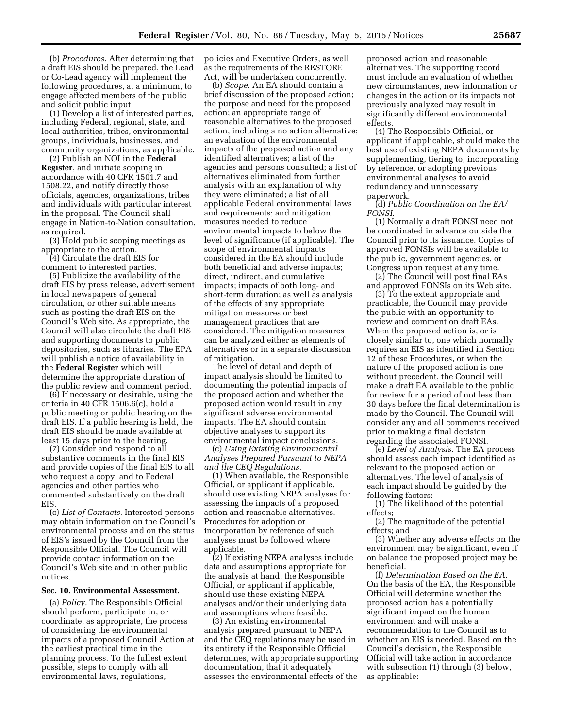(b) *Procedures.* After determining that a draft EIS should be prepared, the Lead or Co-Lead agency will implement the following procedures, at a minimum, to engage affected members of the public and solicit public input:

(1) Develop a list of interested parties, including Federal, regional, state, and local authorities, tribes, environmental groups, individuals, businesses, and community organizations, as applicable.

(2) Publish an NOI in the **Federal Register**, and initiate scoping in accordance with 40 CFR 1501.7 and 1508.22, and notify directly those officials, agencies, organizations, tribes and individuals with particular interest in the proposal. The Council shall engage in Nation-to-Nation consultation, as required.

(3) Hold public scoping meetings as appropriate to the action.

(4) Circulate the draft EIS for comment to interested parties.

(5) Publicize the availability of the draft EIS by press release, advertisement in local newspapers of general circulation, or other suitable means such as posting the draft EIS on the Council's Web site. As appropriate, the Council will also circulate the draft EIS and supporting documents to public depositories, such as libraries. The EPA will publish a notice of availability in the **Federal Register** which will determine the appropriate duration of the public review and comment period.

(6) If necessary or desirable, using the criteria in 40 CFR 1506.6(c), hold a public meeting or public hearing on the draft EIS. If a public hearing is held, the draft EIS should be made available at least 15 days prior to the hearing.

(7) Consider and respond to all substantive comments in the final EIS and provide copies of the final EIS to all who request a copy, and to Federal agencies and other parties who commented substantively on the draft EIS.

(c) *List of Contacts.* Interested persons may obtain information on the Council's environmental process and on the status of EIS's issued by the Council from the Responsible Official. The Council will provide contact information on the Council's Web site and in other public notices.

#### **Sec. 10. Environmental Assessment.**

(a) *Policy.* The Responsible Official should perform, participate in, or coordinate, as appropriate, the process of considering the environmental impacts of a proposed Council Action at the earliest practical time in the planning process. To the fullest extent possible, steps to comply with all environmental laws, regulations,

policies and Executive Orders, as well as the requirements of the RESTORE Act, will be undertaken concurrently.

(b) *Scope.* An EA should contain a brief discussion of the proposed action; the purpose and need for the proposed action; an appropriate range of reasonable alternatives to the proposed action, including a no action alternative; an evaluation of the environmental impacts of the proposed action and any identified alternatives; a list of the agencies and persons consulted; a list of alternatives eliminated from further analysis with an explanation of why they were eliminated; a list of all applicable Federal environmental laws and requirements; and mitigation measures needed to reduce environmental impacts to below the level of significance (if applicable). The scope of environmental impacts considered in the EA should include both beneficial and adverse impacts; direct, indirect, and cumulative impacts; impacts of both long- and short-term duration; as well as analysis of the effects of any appropriate mitigation measures or best management practices that are considered. The mitigation measures can be analyzed either as elements of alternatives or in a separate discussion of mitigation.

The level of detail and depth of impact analysis should be limited to documenting the potential impacts of the proposed action and whether the proposed action would result in any significant adverse environmental impacts. The EA should contain objective analyses to support its environmental impact conclusions.

(c) *Using Existing Environmental Analyses Prepared Pursuant to NEPA and the CEQ Regulations.* 

(1) When available, the Responsible Official, or applicant if applicable, should use existing NEPA analyses for assessing the impacts of a proposed action and reasonable alternatives. Procedures for adoption or incorporation by reference of such analyses must be followed where applicable.

(2) If existing NEPA analyses include data and assumptions appropriate for the analysis at hand, the Responsible Official, or applicant if applicable, should use these existing NEPA analyses and/or their underlying data and assumptions where feasible.

(3) An existing environmental analysis prepared pursuant to NEPA and the CEQ regulations may be used in its entirety if the Responsible Official determines, with appropriate supporting documentation, that it adequately assesses the environmental effects of the

proposed action and reasonable alternatives. The supporting record must include an evaluation of whether new circumstances, new information or changes in the action or its impacts not previously analyzed may result in significantly different environmental effects.

(4) The Responsible Official, or applicant if applicable, should make the best use of existing NEPA documents by supplementing, tiering to, incorporating by reference, or adopting previous environmental analyses to avoid redundancy and unnecessary paperwork.

(d) *Public Coordination on the EA/ FONSI.* 

(1) Normally a draft FONSI need not be coordinated in advance outside the Council prior to its issuance. Copies of approved FONSIs will be available to the public, government agencies, or Congress upon request at any time.

(2) The Council will post final EAs and approved FONSIs on its Web site.

(3) To the extent appropriate and practicable, the Council may provide the public with an opportunity to review and comment on draft EAs. When the proposed action is, or is closely similar to, one which normally requires an EIS as identified in Section 12 of these Procedures, or when the nature of the proposed action is one without precedent, the Council will make a draft EA available to the public for review for a period of not less than 30 days before the final determination is made by the Council. The Council will consider any and all comments received prior to making a final decision regarding the associated FONSI.

(e) *Level of Analysis.* The EA process should assess each impact identified as relevant to the proposed action or alternatives. The level of analysis of each impact should be guided by the following factors:

(1) The likelihood of the potential effects;

(2) The magnitude of the potential effects; and

(3) Whether any adverse effects on the environment may be significant, even if on balance the proposed project may be beneficial.

(f) *Determination Based on the EA.*  On the basis of the EA, the Responsible Official will determine whether the proposed action has a potentially significant impact on the human environment and will make a recommendation to the Council as to whether an EIS is needed. Based on the Council's decision, the Responsible Official will take action in accordance with subsection (1) through (3) below, as applicable: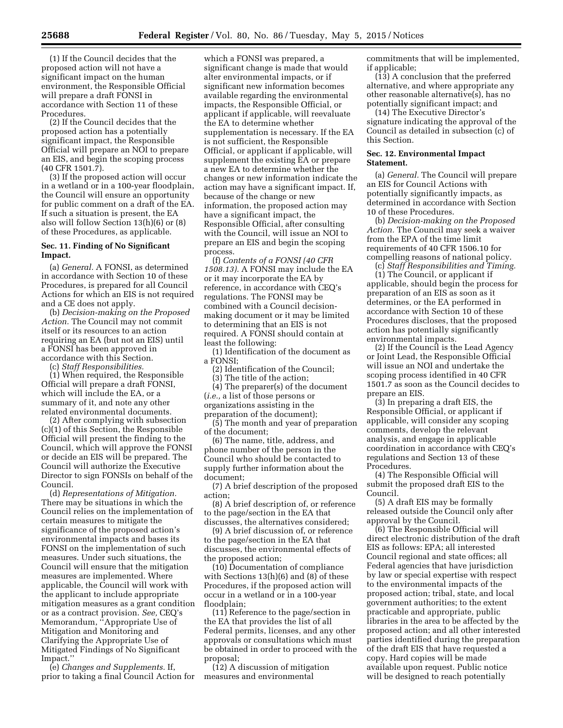(1) If the Council decides that the proposed action will not have a significant impact on the human environment, the Responsible Official will prepare a draft FONSI in accordance with Section 11 of these Procedures.

(2) If the Council decides that the proposed action has a potentially significant impact, the Responsible Official will prepare an NOI to prepare an EIS, and begin the scoping process (40 CFR 1501.7).

(3) If the proposed action will occur in a wetland or in a 100-year floodplain, the Council will ensure an opportunity for public comment on a draft of the EA. If such a situation is present, the EA also will follow Section 13(h)(6) or (8) of these Procedures, as applicable.

# **Sec. 11. Finding of No Significant Impact.**

(a) *General.* A FONSI, as determined in accordance with Section 10 of these Procedures, is prepared for all Council Actions for which an EIS is not required and a CE does not apply.

(b) *Decision-making on the Proposed Action.* The Council may not commit itself or its resources to an action requiring an EA (but not an EIS) until a FONSI has been approved in accordance with this Section.

(c) *Staff Responsibilities.* 

(1) When required, the Responsible Official will prepare a draft FONSI, which will include the EA, or a summary of it, and note any other related environmental documents.

(2) After complying with subsection (c)(1) of this Section, the Responsible Official will present the finding to the Council, which will approve the FONSI or decide an EIS will be prepared. The Council will authorize the Executive Director to sign FONSIs on behalf of the Council.

(d) *Representations of Mitigation.*  There may be situations in which the Council relies on the implementation of certain measures to mitigate the significance of the proposed action's environmental impacts and bases its FONSI on the implementation of such measures. Under such situations, the Council will ensure that the mitigation measures are implemented. Where applicable, the Council will work with the applicant to include appropriate mitigation measures as a grant condition or as a contract provision. *See,* CEQ's Memorandum, ''Appropriate Use of Mitigation and Monitoring and Clarifying the Appropriate Use of Mitigated Findings of No Significant Impact.''

(e) *Changes and Supplements.* If, prior to taking a final Council Action for

which a FONSI was prepared, a significant change is made that would alter environmental impacts, or if significant new information becomes available regarding the environmental impacts, the Responsible Official, or applicant if applicable, will reevaluate the EA to determine whether supplementation is necessary. If the EA is not sufficient, the Responsible Official, or applicant if applicable, will supplement the existing EA or prepare a new EA to determine whether the changes or new information indicate the action may have a significant impact. If, because of the change or new information, the proposed action may have a significant impact, the Responsible Official, after consulting with the Council, will issue an NOI to prepare an EIS and begin the scoping process.

(f) *Contents of a FONSI (40 CFR 1508.13).* A FONSI may include the EA or it may incorporate the EA by reference, in accordance with CEQ's regulations. The FONSI may be combined with a Council decisionmaking document or it may be limited to determining that an EIS is not required. A FONSI should contain at least the following:

(1) Identification of the document as a FONSI;

(2) Identification of the Council; (3) The title of the action;

(4) The preparer(s) of the document (*i.e.,* a list of those persons or organizations assisting in the preparation of the document);

(5) The month and year of preparation of the document;

(6) The name, title, address, and phone number of the person in the Council who should be contacted to supply further information about the document;

(7) A brief description of the proposed action;

(8) A brief description of, or reference to the page/section in the EA that discusses, the alternatives considered;

(9) A brief discussion of, or reference to the page/section in the EA that discusses, the environmental effects of the proposed action;

(10) Documentation of compliance with Sections 13(h)(6) and (8) of these Procedures, if the proposed action will occur in a wetland or in a 100-year floodplain;

(11) Reference to the page/section in the EA that provides the list of all Federal permits, licenses, and any other approvals or consultations which must be obtained in order to proceed with the proposal;

(12) A discussion of mitigation measures and environmental

commitments that will be implemented, if applicable;

(13) A conclusion that the preferred alternative, and where appropriate any other reasonable alternative(s), has no potentially significant impact; and

(14) The Executive Director's signature indicating the approval of the Council as detailed in subsection (c) of this Section.

#### **Sec. 12. Environmental Impact Statement.**

(a) *General.* The Council will prepare an EIS for Council Actions with potentially significantly impacts, as determined in accordance with Section 10 of these Procedures.

(b) *Decision-making on the Proposed Action.* The Council may seek a waiver from the EPA of the time limit requirements of 40 CFR 1506.10 for compelling reasons of national policy.

(c) *Staff Responsibilities and Timing.*  (1) The Council, or applicant if applicable, should begin the process for preparation of an EIS as soon as it determines, or the EA performed in accordance with Section 10 of these Procedures discloses, that the proposed action has potentially significantly environmental impacts.

(2) If the Council is the Lead Agency or Joint Lead, the Responsible Official will issue an NOI and undertake the scoping process identified in 40 CFR 1501.7 as soon as the Council decides to prepare an EIS.

(3) In preparing a draft EIS, the Responsible Official, or applicant if applicable, will consider any scoping comments, develop the relevant analysis, and engage in applicable coordination in accordance with CEQ's regulations and Section 13 of these Procedures.

(4) The Responsible Official will submit the proposed draft EIS to the Council.

(5) A draft EIS may be formally released outside the Council only after approval by the Council.

(6) The Responsible Official will direct electronic distribution of the draft EIS as follows: EPA; all interested Council regional and state offices; all Federal agencies that have jurisdiction by law or special expertise with respect to the environmental impacts of the proposed action; tribal, state, and local government authorities; to the extent practicable and appropriate, public libraries in the area to be affected by the proposed action; and all other interested parties identified during the preparation of the draft EIS that have requested a copy. Hard copies will be made available upon request. Public notice will be designed to reach potentially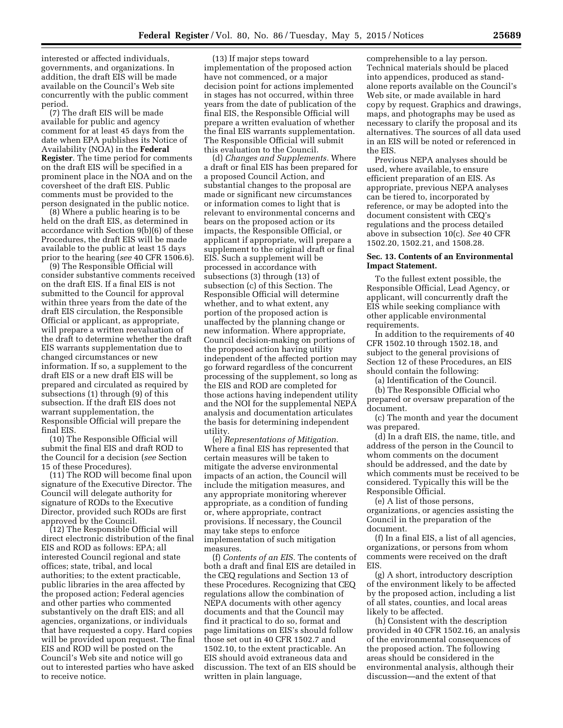interested or affected individuals, governments, and organizations. In addition, the draft EIS will be made available on the Council's Web site concurrently with the public comment period.

(7) The draft EIS will be made available for public and agency comment for at least 45 days from the date when EPA publishes its Notice of Availability (NOA) in the **Federal Register**. The time period for comments on the draft EIS will be specified in a prominent place in the NOA and on the coversheet of the draft EIS. Public comments must be provided to the person designated in the public notice.

(8) Where a public hearing is to be held on the draft EIS, as determined in accordance with Section 9(b)(6) of these Procedures, the draft EIS will be made available to the public at least 15 days prior to the hearing (*see* 40 CFR 1506.6).

(9) The Responsible Official will consider substantive comments received on the draft EIS. If a final EIS is not submitted to the Council for approval within three years from the date of the draft EIS circulation, the Responsible Official or applicant, as appropriate, will prepare a written reevaluation of the draft to determine whether the draft EIS warrants supplementation due to changed circumstances or new information. If so, a supplement to the draft EIS or a new draft EIS will be prepared and circulated as required by subsections (1) through (9) of this subsection. If the draft EIS does not warrant supplementation, the Responsible Official will prepare the final EIS.

(10) The Responsible Official will submit the final EIS and draft ROD to the Council for a decision (*see* Section 15 of these Procedures).

(11) The ROD will become final upon signature of the Executive Director. The Council will delegate authority for signature of RODs to the Executive Director, provided such RODs are first approved by the Council.

(12) The Responsible Official will direct electronic distribution of the final EIS and ROD as follows: EPA; all interested Council regional and state offices; state, tribal, and local authorities; to the extent practicable, public libraries in the area affected by the proposed action; Federal agencies and other parties who commented substantively on the draft EIS; and all agencies, organizations, or individuals that have requested a copy. Hard copies will be provided upon request. The final EIS and ROD will be posted on the Council's Web site and notice will go out to interested parties who have asked to receive notice.

(13) If major steps toward implementation of the proposed action have not commenced, or a major decision point for actions implemented in stages has not occurred, within three years from the date of publication of the final EIS, the Responsible Official will prepare a written evaluation of whether the final EIS warrants supplementation. The Responsible Official will submit this evaluation to the Council.

(d) *Changes and Supplements.* Where a draft or final EIS has been prepared for a proposed Council Action, and substantial changes to the proposal are made or significant new circumstances or information comes to light that is relevant to environmental concerns and bears on the proposed action or its impacts, the Responsible Official, or applicant if appropriate, will prepare a supplement to the original draft or final EIS. Such a supplement will be processed in accordance with subsections (3) through (13) of subsection (c) of this Section. The Responsible Official will determine whether, and to what extent, any portion of the proposed action is unaffected by the planning change or new information. Where appropriate, Council decision-making on portions of the proposed action having utility independent of the affected portion may go forward regardless of the concurrent processing of the supplement, so long as the EIS and ROD are completed for those actions having independent utility and the NOI for the supplemental NEPA analysis and documentation articulates the basis for determining independent utility.

(e) *Representations of Mitigation.*  Where a final EIS has represented that certain measures will be taken to mitigate the adverse environmental impacts of an action, the Council will include the mitigation measures, and any appropriate monitoring wherever appropriate, as a condition of funding or, where appropriate, contract provisions. If necessary, the Council may take steps to enforce implementation of such mitigation measures.

(f) *Contents of an EIS.* The contents of both a draft and final EIS are detailed in the CEQ regulations and Section 13 of these Procedures. Recognizing that CEQ regulations allow the combination of NEPA documents with other agency documents and that the Council may find it practical to do so, format and page limitations on EIS's should follow those set out in 40 CFR 1502.7 and 1502.10, to the extent practicable. An EIS should avoid extraneous data and discussion. The text of an EIS should be written in plain language,

comprehensible to a lay person. Technical materials should be placed into appendices, produced as standalone reports available on the Council's Web site, or made available in hard copy by request. Graphics and drawings, maps, and photographs may be used as necessary to clarify the proposal and its alternatives. The sources of all data used in an EIS will be noted or referenced in the EIS.

Previous NEPA analyses should be used, where available, to ensure efficient preparation of an EIS. As appropriate, previous NEPA analyses can be tiered to, incorporated by reference, or may be adopted into the document consistent with CEQ's regulations and the process detailed above in subsection 10(c). *See* 40 CFR 1502.20, 1502.21, and 1508.28.

# **Sec. 13. Contents of an Environmental Impact Statement.**

To the fullest extent possible, the Responsible Official, Lead Agency, or applicant, will concurrently draft the EIS while seeking compliance with other applicable environmental requirements.

In addition to the requirements of 40 CFR 1502.10 through 1502.18, and subject to the general provisions of Section 12 of these Procedures, an EIS should contain the following:

(a) Identification of the Council.

(b) The Responsible Official who prepared or oversaw preparation of the document.

(c) The month and year the document was prepared.

(d) In a draft EIS, the name, title, and address of the person in the Council to whom comments on the document should be addressed, and the date by which comments must be received to be considered. Typically this will be the Responsible Official.

(e) A list of those persons, organizations, or agencies assisting the Council in the preparation of the document.

(f) In a final EIS, a list of all agencies, organizations, or persons from whom comments were received on the draft **EIS** 

(g) A short, introductory description of the environment likely to be affected by the proposed action, including a list of all states, counties, and local areas likely to be affected.

(h) Consistent with the description provided in 40 CFR 1502.16, an analysis of the environmental consequences of the proposed action. The following areas should be considered in the environmental analysis, although their discussion—and the extent of that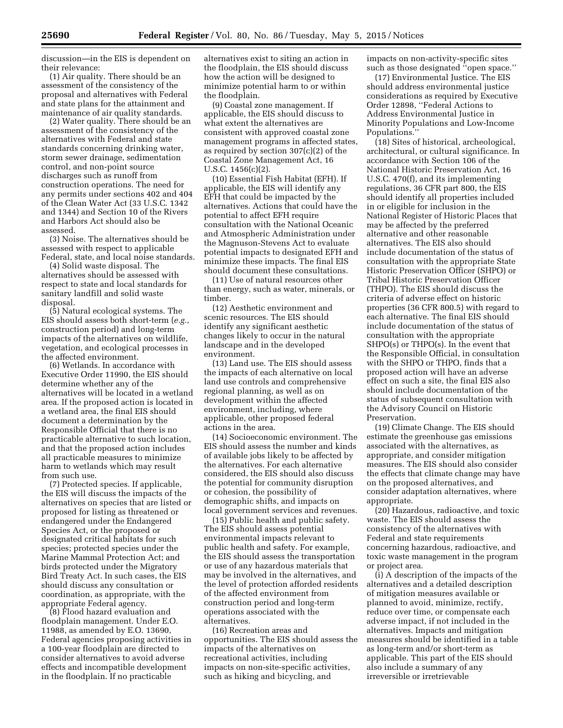discussion—in the EIS is dependent on their relevance:

(1) Air quality. There should be an assessment of the consistency of the proposal and alternatives with Federal and state plans for the attainment and maintenance of air quality standards.

(2) Water quality. There should be an assessment of the consistency of the alternatives with Federal and state standards concerning drinking water, storm sewer drainage, sedimentation control, and non-point source discharges such as runoff from construction operations. The need for any permits under sections 402 and 404 of the Clean Water Act (33 U.S.C. 1342 and 1344) and Section 10 of the Rivers and Harbors Act should also be assessed.

(3) Noise. The alternatives should be assessed with respect to applicable Federal, state, and local noise standards.

(4) Solid waste disposal. The alternatives should be assessed with respect to state and local standards for sanitary landfill and solid waste disposal.

(5) Natural ecological systems. The EIS should assess both short-term (*e.g.,*  construction period) and long-term impacts of the alternatives on wildlife, vegetation, and ecological processes in the affected environment.

(6) Wetlands. In accordance with Executive Order 11990, the EIS should determine whether any of the alternatives will be located in a wetland area. If the proposed action is located in a wetland area, the final EIS should document a determination by the Responsible Official that there is no practicable alternative to such location, and that the proposed action includes all practicable measures to minimize harm to wetlands which may result from such use.

(7) Protected species. If applicable, the EIS will discuss the impacts of the alternatives on species that are listed or proposed for listing as threatened or endangered under the Endangered Species Act, or the proposed or designated critical habitats for such species; protected species under the Marine Mammal Protection Act; and birds protected under the Migratory Bird Treaty Act. In such cases, the EIS should discuss any consultation or coordination, as appropriate, with the appropriate Federal agency.

(8) Flood hazard evaluation and floodplain management. Under E.O. 11988, as amended by E.O. 13690, Federal agencies proposing activities in a 100-year floodplain are directed to consider alternatives to avoid adverse effects and incompatible development in the floodplain. If no practicable

alternatives exist to siting an action in the floodplain, the EIS should discuss how the action will be designed to minimize potential harm to or within the floodplain.

(9) Coastal zone management. If applicable, the EIS should discuss to what extent the alternatives are consistent with approved coastal zone management programs in affected states, as required by section 307(c)(2) of the Coastal Zone Management Act, 16 U.S.C. 1456(c)(2).

(10) Essential Fish Habitat (EFH). If applicable, the EIS will identify any EFH that could be impacted by the alternatives. Actions that could have the potential to affect EFH require consultation with the National Oceanic and Atmospheric Administration under the Magnuson-Stevens Act to evaluate potential impacts to designated EFH and minimize these impacts. The final EIS should document these consultations.

(11) Use of natural resources other than energy, such as water, minerals, or timber.

(12) Aesthetic environment and scenic resources. The EIS should identify any significant aesthetic changes likely to occur in the natural landscape and in the developed environment.

(13) Land use. The EIS should assess the impacts of each alternative on local land use controls and comprehensive regional planning, as well as on development within the affected environment, including, where applicable, other proposed federal actions in the area.

(14) Socioeconomic environment. The EIS should assess the number and kinds of available jobs likely to be affected by the alternatives. For each alternative considered, the EIS should also discuss the potential for community disruption or cohesion, the possibility of demographic shifts, and impacts on local government services and revenues.

(15) Public health and public safety. The EIS should assess potential environmental impacts relevant to public health and safety. For example, the EIS should assess the transportation or use of any hazardous materials that may be involved in the alternatives, and the level of protection afforded residents of the affected environment from construction period and long-term operations associated with the alternatives.

(16) Recreation areas and opportunities. The EIS should assess the impacts of the alternatives on recreational activities, including impacts on non-site-specific activities, such as hiking and bicycling, and

impacts on non-activity-specific sites such as those designated ''open space.''

(17) Environmental Justice. The EIS should address environmental justice considerations as required by Executive Order 12898, ''Federal Actions to Address Environmental Justice in Minority Populations and Low-Income Populations.''

(18) Sites of historical, archeological, architectural, or cultural significance. In accordance with Section 106 of the National Historic Preservation Act, 16 U.S.C. 470(f), and its implementing regulations, 36 CFR part 800, the EIS should identify all properties included in or eligible for inclusion in the National Register of Historic Places that may be affected by the preferred alternative and other reasonable alternatives. The EIS also should include documentation of the status of consultation with the appropriate State Historic Preservation Officer (SHPO) or Tribal Historic Preservation Officer (THPO). The EIS should discuss the criteria of adverse effect on historic properties (36 CFR 800.5) with regard to each alternative. The final EIS should include documentation of the status of consultation with the appropriate SHPO(s) or THPO(s). In the event that the Responsible Official, in consultation with the SHPO or THPO, finds that a proposed action will have an adverse effect on such a site, the final EIS also should include documentation of the status of subsequent consultation with the Advisory Council on Historic Preservation.

(19) Climate Change. The EIS should estimate the greenhouse gas emissions associated with the alternatives, as appropriate, and consider mitigation measures. The EIS should also consider the effects that climate change may have on the proposed alternatives, and consider adaptation alternatives, where appropriate.

(20) Hazardous, radioactive, and toxic waste. The EIS should assess the consistency of the alternatives with Federal and state requirements concerning hazardous, radioactive, and toxic waste management in the program or project area.

(i) A description of the impacts of the alternatives and a detailed description of mitigation measures available or planned to avoid, minimize, rectify, reduce over time, or compensate each adverse impact, if not included in the alternatives. Impacts and mitigation measures should be identified in a table as long-term and/or short-term as applicable. This part of the EIS should also include a summary of any irreversible or irretrievable